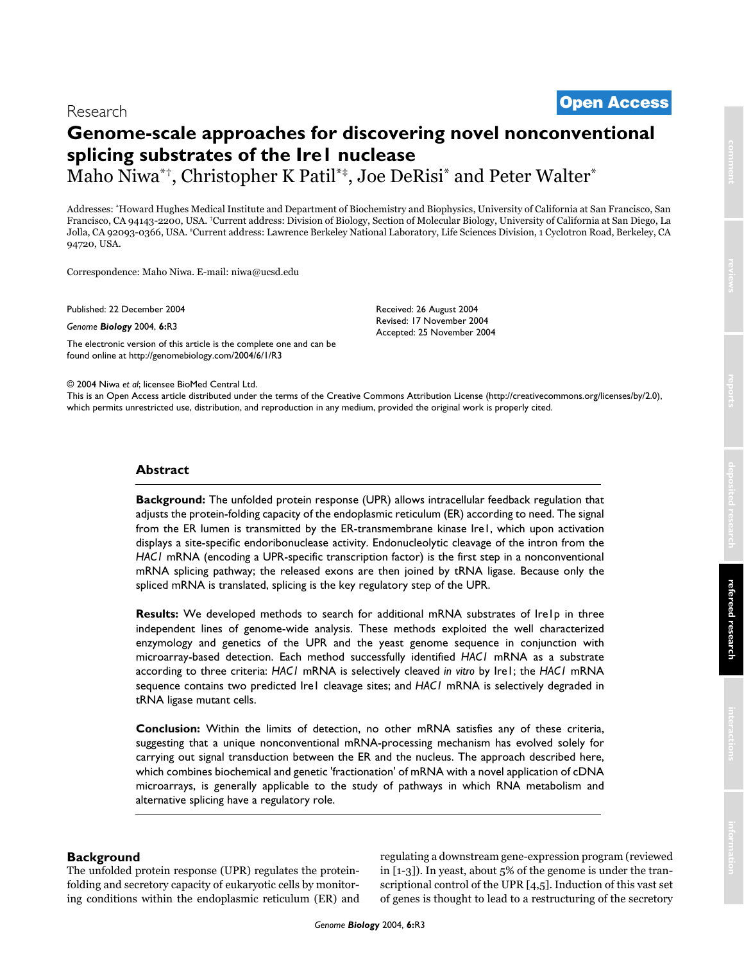# <sup>2004</sup> Niwaet al. Volume 6, Issue 1, Article R3 **[Open Access](http://www.biomedcentral.com/info/about/charter/)** Research

# **Genome-scale approaches for discovering novel nonconventional splicing substrates of the Ire1 nuclease** Maho Niwa\*†, Christopher K Patil\*‡, Joe DeRisi\* and Peter Walter\*

Addresses: \*Howard Hughes Medical Institute and Department of Biochemistry and Biophysics, University of California at San Francisco, San Francisco, CA 94143-2200, USA. †Current address: Division of Biology, Section of Molecular Biology, University of California at San Diego, La Jolla, CA 92093-0366, USA. ‡Current address: Lawrence Berkeley National Laboratory, Life Sciences Division, 1 Cyclotron Road, Berkeley, CA 94720, USA.

Correspondence: Maho Niwa. E-mail: niwa@ucsd.edu

Published: 22 December 2004

*Genome Biology* 2004, **6:**R3

[The electronic version of this article is the complete one and can be](http://genomebiology.com/2004/6/1/R3)  found online at http://genomebiology.com/2004/6/1/R3

Accepted: 25 November 2004

Received: 26 August 2004 Revised: 17 November 2004

© 2004 Niwa *et al*; licensee BioMed Central Ltd.

[This is an Open Access article distributed under the terms of the Creative Commons Attribution License \(http://creativecommons.org/licenses/by/2.0\),](http://creativecommons.org/licenses/by/2.0)  which permits unrestricted use, distribution, and reproduction in any medium, provided the original work is properly cited.

# **Abstract**

**Background:** The unfolded protein response (UPR) allows intracellular feedback regulation that adjusts the protein-folding capacity of the endoplasmic reticulum (ER) according to need. The signal from the ER lumen is transmitted by the ER-transmembrane kinase Ire1, which upon activation displays a site-specific endoribonuclease activity. Endonucleolytic cleavage of the intron from the *HAC1* mRNA (encoding a UPR-specific transcription factor) is the first step in a nonconventional mRNA splicing pathway; the released exons are then joined by tRNA ligase. Because only the spliced mRNA is translated, splicing is the key regulatory step of the UPR.

**Results:** We developed methods to search for additional mRNA substrates of Ire1p in three independent lines of genome-wide analysis. These methods exploited the well characterized enzymology and genetics of the UPR and the yeast genome sequence in conjunction with microarray-based detection. Each method successfully identified *HAC1* mRNA as a substrate according to three criteria: *HAC1* mRNA is selectively cleaved *in vitro* by Ire1; the *HAC1* mRNA sequence contains two predicted Ire1 cleavage sites; and *HAC1* mRNA is selectively degraded in tRNA ligase mutant cells.

**Conclusion:** Within the limits of detection, no other mRNA satisfies any of these criteria, suggesting that a unique nonconventional mRNA-processing mechanism has evolved solely for carrying out signal transduction between the ER and the nucleus. The approach described here, which combines biochemical and genetic 'fractionation' of mRNA with a novel application of cDNA microarrays, is generally applicable to the study of pathways in which RNA metabolism and alternative splicing have a regulatory role.

## **Background**

The unfolded protein response (UPR) regulates the proteinfolding and secretory capacity of eukaryotic cells by monitoring conditions within the endoplasmic reticulum (ER) and regulating a downstream gene-expression program (reviewed in [1-3]). In yeast, about 5% of the genome is under the transcriptional control of the UPR [4,5]. Induction of this vast set of genes is thought to lead to a restructuring of the secretory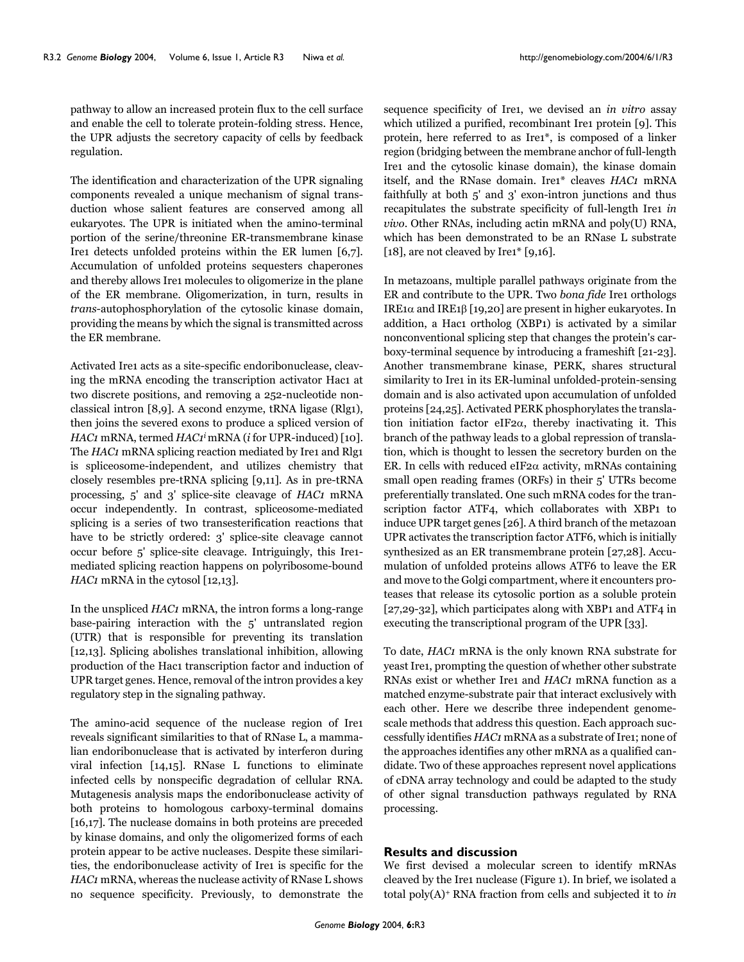pathway to allow an increased protein flux to the cell surface and enable the cell to tolerate protein-folding stress. Hence, the UPR adjusts the secretory capacity of cells by feedback regulation.

The identification and characterization of the UPR signaling components revealed a unique mechanism of signal transduction whose salient features are conserved among all eukaryotes. The UPR is initiated when the amino-terminal portion of the serine/threonine ER-transmembrane kinase Ire1 detects unfolded proteins within the ER lumen [6,7]. Accumulation of unfolded proteins sequesters chaperones and thereby allows Ire1 molecules to oligomerize in the plane of the ER membrane. Oligomerization, in turn, results in *trans*-autophosphorylation of the cytosolic kinase domain, providing the means by which the signal is transmitted across the ER membrane.

Activated Ire1 acts as a site-specific endoribonuclease, cleaving the mRNA encoding the transcription activator Hac1 at two discrete positions, and removing a 252-nucleotide nonclassical intron [8,9]. A second enzyme, tRNA ligase (Rlg1), then joins the severed exons to produce a spliced version of *HAC1* mRNA, termed *HAC1i* mRNA (*i* for UPR-induced) [10]. The *HAC1* mRNA splicing reaction mediated by Ire1 and Rlg1 is spliceosome-independent, and utilizes chemistry that closely resembles pre-tRNA splicing [9,11]. As in pre-tRNA processing, 5' and 3' splice-site cleavage of *HAC1* mRNA occur independently. In contrast, spliceosome-mediated splicing is a series of two transesterification reactions that have to be strictly ordered: 3' splice-site cleavage cannot occur before 5' splice-site cleavage. Intriguingly, this Ire1 mediated splicing reaction happens on polyribosome-bound *HAC1* mRNA in the cytosol [12,13].

In the unspliced *HAC1* mRNA, the intron forms a long-range base-pairing interaction with the 5' untranslated region (UTR) that is responsible for preventing its translation [12,13]. Splicing abolishes translational inhibition, allowing production of the Hac1 transcription factor and induction of UPR target genes. Hence, removal of the intron provides a key regulatory step in the signaling pathway.

The amino-acid sequence of the nuclease region of Ire1 reveals significant similarities to that of RNase L, a mammalian endoribonuclease that is activated by interferon during viral infection [14,15]. RNase L functions to eliminate infected cells by nonspecific degradation of cellular RNA. Mutagenesis analysis maps the endoribonuclease activity of both proteins to homologous carboxy-terminal domains [16,17]. The nuclease domains in both proteins are preceded by kinase domains, and only the oligomerized forms of each protein appear to be active nucleases. Despite these similarities, the endoribonuclease activity of Ire1 is specific for the *HAC1* mRNA, whereas the nuclease activity of RNase L shows no sequence specificity. Previously, to demonstrate the

sequence specificity of Ire1, we devised an *in vitro* assay which utilized a purified, recombinant Irei protein [9]. This protein, here referred to as Ire1\*, is composed of a linker region (bridging between the membrane anchor of full-length Ire1 and the cytosolic kinase domain), the kinase domain itself, and the RNase domain. Ire1\* cleaves *HAC1* mRNA faithfully at both 5' and 3' exon-intron junctions and thus recapitulates the substrate specificity of full-length Ire1 *in vivo*. Other RNAs, including actin mRNA and poly(U) RNA, which has been demonstrated to be an RNase L substrate [18], are not cleaved by Ire1\* [9,16].

In metazoans, multiple parallel pathways originate from the ER and contribute to the UPR. Two *bona fide* Ire1 orthologs IRE1α and IRE1β [19,20] are present in higher eukaryotes. In addition, a Hac1 ortholog (XBP1) is activated by a similar nonconventional splicing step that changes the protein's carboxy-terminal sequence by introducing a frameshift [21-23]. Another transmembrane kinase, PERK, shares structural similarity to Ire1 in its ER-luminal unfolded-protein-sensing domain and is also activated upon accumulation of unfolded proteins [24,25]. Activated PERK phosphorylates the translation initiation factor eIF2 $\alpha$ , thereby inactivating it. This branch of the pathway leads to a global repression of translation, which is thought to lessen the secretory burden on the ER. In cells with reduced eIF2 $\alpha$  activity, mRNAs containing small open reading frames (ORFs) in their 5' UTRs become preferentially translated. One such mRNA codes for the transcription factor ATF4, which collaborates with XBP1 to induce UPR target genes [26]. A third branch of the metazoan UPR activates the transcription factor ATF6, which is initially synthesized as an ER transmembrane protein [27,28]. Accumulation of unfolded proteins allows ATF6 to leave the ER and move to the Golgi compartment, where it encounters proteases that release its cytosolic portion as a soluble protein [27,29-32], which participates along with XBP1 and ATF4 in executing the transcriptional program of the UPR [33].

To date, *HAC1* mRNA is the only known RNA substrate for yeast Ire1, prompting the question of whether other substrate RNAs exist or whether Ire1 and *HAC1* mRNA function as a matched enzyme-substrate pair that interact exclusively with each other. Here we describe three independent genomescale methods that address this question. Each approach successfully identifies *HAC1* mRNA as a substrate of Ire1; none of the approaches identifies any other mRNA as a qualified candidate. Two of these approaches represent novel applications of cDNA array technology and could be adapted to the study of other signal transduction pathways regulated by RNA processing.

## **Results and discussion**

We first devised a molecular screen to identify mRNAs cleaved by the Ire1 nuclease (Figure 1). In brief, we isolated a total poly(A)+ RNA fraction from cells and subjected it to *in*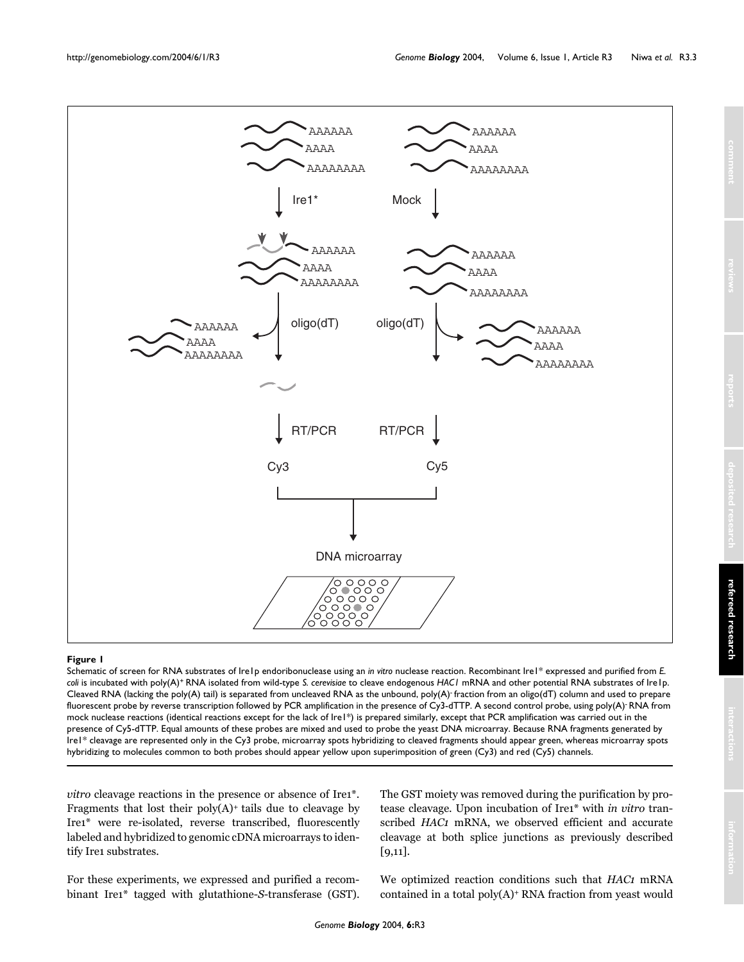

#### Schematic of screen for RN **Figure 1** A substrates of Ire1p endoribonuclease using an *in vitro* nuclease reaction

Schematic of screen for RNA substrates of Ire1p endoribonuclease using an *in vitro* nuclease reaction. Recombinant Ire1\* expressed and purified from *E. coli* is incubated with poly(A)+ RNA isolated from wild-type *S. cerevisiae* to cleave endogenous *HAC1* mRNA and other potential RNA substrates of Ire1p. Cleaved RNA (lacking the poly(A) tail) is separated from uncleaved RNA as the unbound, poly(A)- fraction from an oligo(dT) column and used to prepare fluorescent probe by reverse transcription followed by PCR amplification in the presence of Cy3-dTTP. A second control probe, using poly(A)<sup>-</sup> RNA from mock nuclease reactions (identical reactions except for the lack of Ire1\*) is prepared similarly, except that PCR amplification was carried out in the presence of Cy5-dTTP. Equal amounts of these probes are mixed and used to probe the yeast DNA microarray. Because RNA fragments generated by Ire1\* cleavage are represented only in the Cy3 probe, microarray spots hybridizing to cleaved fragments should appear green, whereas microarray spots hybridizing to molecules common to both probes should appear yellow upon superimposition of green (Cy3) and red (Cy5) channels.

*vitro* cleavage reactions in the presence or absence of Ire1<sup>\*</sup>. Fragments that lost their poly(A)+ tails due to cleavage by Ire1\* were re-isolated, reverse transcribed, fluorescently labeled and hybridized to genomic cDNA microarrays to identify Ire1 substrates.

For these experiments, we expressed and purified a recombinant Ire1\* tagged with glutathione-*S*-transferase (GST).

The GST moiety was removed during the purification by protease cleavage. Upon incubation of Ire1\* with *in vitro* transcribed *HAC1* mRNA, we observed efficient and accurate cleavage at both splice junctions as previously described [9,11].

We optimized reaction conditions such that *HAC1* mRNA contained in a total poly(A)+ RNA fraction from yeast would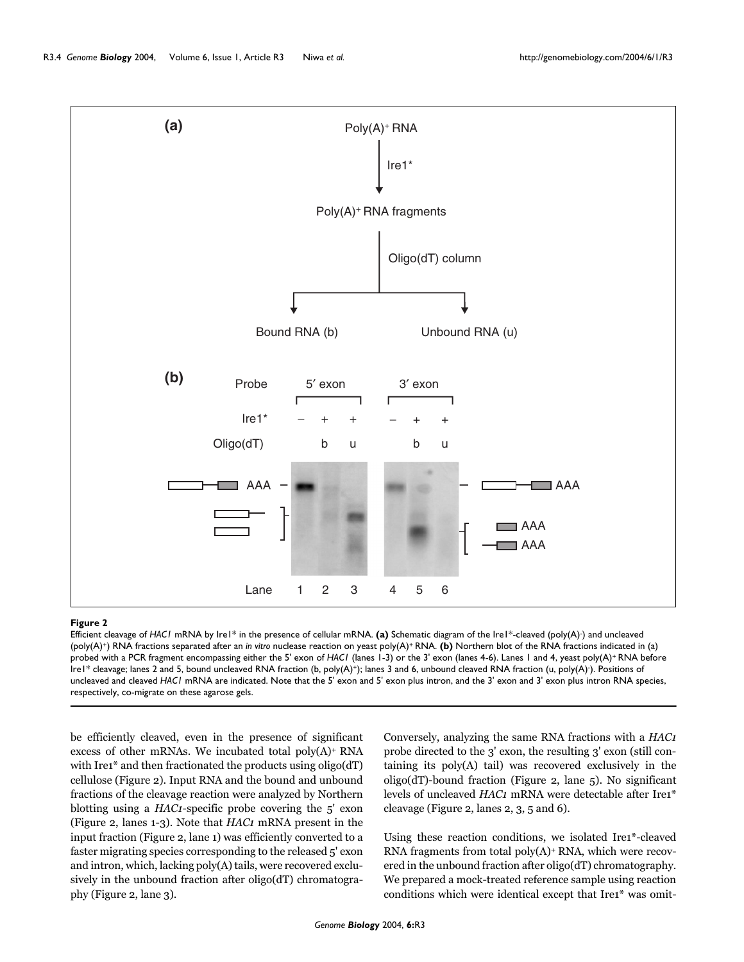

#### **Figure 2**

Efficient cleavage of *HAC1* mRNA by Ire1\* in the presence of cellular mRNA. **(a)** Schematic diagram of the Ire1\*-cleaved (poly(A)- ) and uncleaved (poly(A)+) RNA fractions separated after an *in vitro* nuclease reaction on yeast poly(A)+ RNA. **(b)** Northern blot of the RNA fractions indicated in (a) probed with a PCR fragment encompassing either the 5' exon of *HAC1* (lanes 1-3) or the 3' exon (lanes 4-6). Lanes 1 and 4, yeast poly(A)+ RNA before Ire1\* cleavage; lanes 2 and 5, bound uncleaved RNA fraction (b, poly(A)+); lanes 3 and 6, unbound cleaved RNA fraction (u, poly(A)- ). Positions of uncleaved and cleaved *HAC1* mRNA are indicated. Note that the 5' exon and 5' exon plus intron, and the 3' exon and 3' exon plus intron RNA species, respectively, co-migrate on these agarose gels.

be efficiently cleaved, even in the presence of significant excess of other mRNAs. We incubated total poly(A)+ RNA with Ire1<sup>\*</sup> and then fractionated the products using oligo(dT) cellulose (Figure 2). Input RNA and the bound and unbound fractions of the cleavage reaction were analyzed by Northern blotting using a *HAC1*-specific probe covering the 5' exon (Figure 2, lanes 1-3). Note that *HAC1* mRNA present in the input fraction (Figure 2, lane 1) was efficiently converted to a faster migrating species corresponding to the released 5' exon and intron, which, lacking poly(A) tails, were recovered exclusively in the unbound fraction after oligo(dT) chromatography (Figure 2, lane 3).

Conversely, analyzing the same RNA fractions with a *HAC1* probe directed to the 3' exon, the resulting 3' exon (still containing its poly(A) tail) was recovered exclusively in the oligo(dT)-bound fraction (Figure 2, lane 5). No significant levels of uncleaved *HAC1* mRNA were detectable after Ire1\* cleavage (Figure 2, lanes 2, 3, 5 and 6).

Using these reaction conditions, we isolated Ire1\*-cleaved RNA fragments from total poly(A)+ RNA, which were recovered in the unbound fraction after oligo(dT) chromatography. We prepared a mock-treated reference sample using reaction conditions which were identical except that Ire1\* was omit-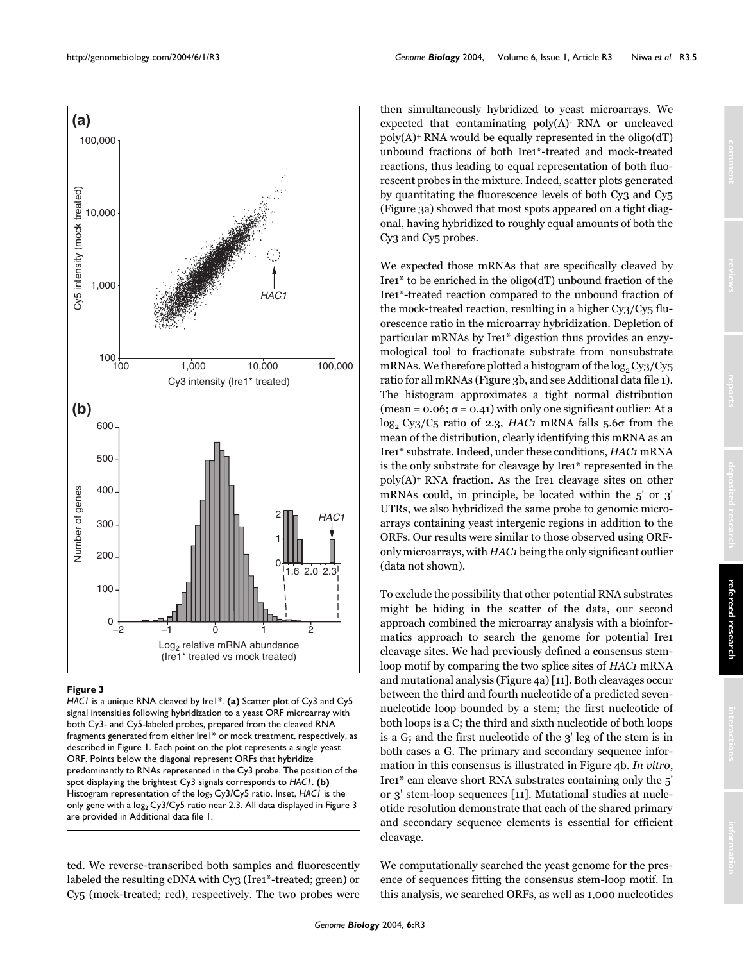

#### **Figure 3**

*HAC1* is a unique RNA cleaved by Ire1\*. (a) Scatter plot of Cy3 and Cy5 signal intensities following hybridization to a yeast ORF microarray with both Cy3- and Cy5-labeled probes, prepared from the cleaved RNA fragments generated from either Ire1\* or mock treatment, respectively, as described in Figure 1. Each point on the plot represents a single yeast ORF. Points below the diagonal represent ORFs that hybridize predominantly to RNAs represented in the Cy3 probe. The position of the spot displaying the brightest Cy3 signals corresponds to *HAC1*. **(b)**  Histogram representation of the log<sub>2</sub> Cy3/Cy5 ratio. Inset, *HAC1* is the only gene with a log<sub>2</sub> Cy3/Cy5 ratio near 2.3. All data displayed in Figure 3 are provided in Additional data file 1.

ted. We reverse-transcribed both samples and fluorescently labeled the resulting cDNA with Cy3 (Ire1\*-treated; green) or Cy5 (mock-treated; red), respectively. The two probes were

*Genome Biology* 2004, **6:**R3

then simultaneously hybridized to yeast microarrays. We expected that contaminating poly(A)- RNA or uncleaved  $poly(A)$ <sup>+</sup> RNA would be equally represented in the oligo(dT) unbound fractions of both Ire1\*-treated and mock-treated reactions, thus leading to equal representation of both fluorescent probes in the mixture. Indeed, scatter plots generated by quantitating the fluorescence levels of both Cy3 and Cy5 (Figure 3a) showed that most spots appeared on a tight diagonal, having hybridized to roughly equal amounts of both the Cy3 and Cy5 probes.

We expected those mRNAs that are specifically cleaved by Ire1\* to be enriched in the oligo(dT) unbound fraction of the Ire1\*-treated reaction compared to the unbound fraction of the mock-treated reaction, resulting in a higher Cy3/Cy5 fluorescence ratio in the microarray hybridization. Depletion of particular mRNAs by Ire1\* digestion thus provides an enzymological tool to fractionate substrate from nonsubstrate mRNAs. We therefore plotted a histogram of the  $\log_2 Cy3/Cy5$ ratio for all mRNAs (Figure 3b, and see Additional data file 1). The histogram approximates a tight normal distribution (mean =  $0.06$ ;  $\sigma$  =  $0.41$ ) with only one significant outlier: At a log<sub>2</sub> Cy3/C<sub>5</sub> ratio of 2.3, *HAC1* mRNA falls 5.6σ from the mean of the distribution, clearly identifying this mRNA as an Ire1\* substrate. Indeed, under these conditions, *HAC1* mRNA is the only substrate for cleavage by Ire1\* represented in the poly(A)+ RNA fraction. As the Ire1 cleavage sites on other mRNAs could, in principle, be located within the 5' or 3' UTRs, we also hybridized the same probe to genomic microarrays containing yeast intergenic regions in addition to the ORFs. Our results were similar to those observed using ORFonly microarrays, with *HAC1* being the only significant outlier (data not shown).

To exclude the possibility that other potential RNA substrates might be hiding in the scatter of the data, our second approach combined the microarray analysis with a bioinformatics approach to search the genome for potential Ire1 cleavage sites. We had previously defined a consensus stemloop motif by comparing the two splice sites of *HAC1* mRNA and mutational analysis (Figure [4](#page-5-0)a) [11]. Both cleavages occur between the third and fourth nucleotide of a predicted sevennucleotide loop bounded by a stem; the first nucleotide of both loops is a C; the third and sixth nucleotide of both loops is a G; and the first nucleotide of the 3' leg of the stem is in both cases a G. The primary and secondary sequence information in this consensus is illustrated in Figure [4b](#page-5-0). *In vitro*, Ire1\* can cleave short RNA substrates containing only the 5' or 3' stem-loop sequences [11]. Mutational studies at nucleotide resolution demonstrate that each of the shared primary and secondary sequence elements is essential for efficient cleavage.

We computationally searched the yeast genome for the presence of sequences fitting the consensus stem-loop motif. In this analysis, we searched ORFs, as well as 1,000 nucleotides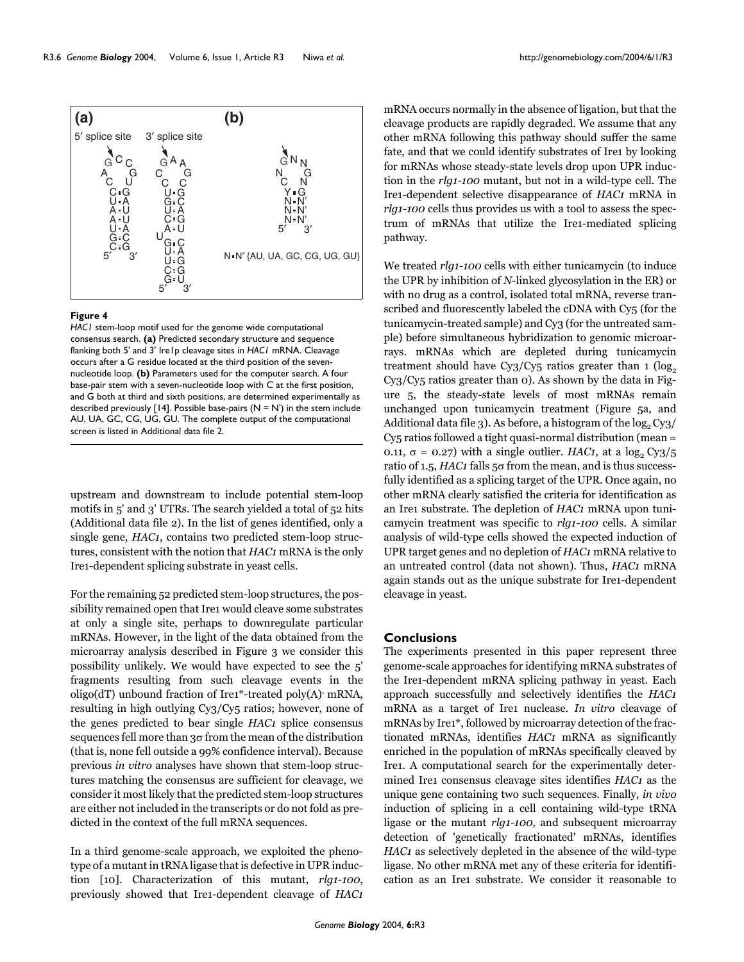upstream and downstream to include potential stem-loop motifs in 5' and 3' UTRs. The search yielded a total of 52 hits (Additional data file 2). In the list of genes identified, only a single gene, *HAC1*, contains two predicted stem-loop structures, consistent with the notion that *HAC1* mRNA is the only Ire1-dependent splicing substrate in yeast cells.

For the remaining 52 predicted stem-loop structures, the possibility remained open that Ire1 would cleave some substrates at only a single site, perhaps to downregulate particular mRNAs. However, in the light of the data obtained from the microarray analysis described in Figure 3 we consider this possibility unlikely. We would have expected to see the 5' fragments resulting from such cleavage events in the oligo(dT) unbound fraction of Ire1\*-treated poly(A)- mRNA, resulting in high outlying Cy3/Cy5 ratios; however, none of the genes predicted to bear single *HAC1* splice consensus sequences fell more than 3σ from the mean of the distribution (that is, none fell outside a 99% confidence interval). Because previous *in vitro* analyses have shown that stem-loop structures matching the consensus are sufficient for cleavage, we consider it most likely that the predicted stem-loop structures are either not included in the transcripts or do not fold as predicted in the context of the full mRNA sequences.

In a third genome-scale approach, we exploited the phenotype of a mutant in tRNA ligase that is defective in UPR induction [10]. Characterization of this mutant, *rlg1-100*, previously showed that Ire1-dependent cleavage of *HAC1* mRNA occurs normally in the absence of ligation, but that the cleavage products are rapidly degraded. We assume that any other mRNA following this pathway should suffer the same fate, and that we could identify substrates of Ire1 by looking for mRNAs whose steady-state levels drop upon UPR induction in the *rlg1-100* mutant, but not in a wild-type cell. The Ire1-dependent selective disappearance of *HAC1* mRNA in *rlg1-100* cells thus provides us with a tool to assess the spectrum of mRNAs that utilize the Ire1-mediated splicing pathway.

We treated *rlg1-100* cells with either tunicamycin (to induce the UPR by inhibition of *N*-linked glycosylation in the ER) or with no drug as a control, isolated total mRNA, reverse transcribed and fluorescently labeled the cDNA with Cy5 (for the tunicamycin-treated sample) and Cy3 (for the untreated sample) before simultaneous hybridization to genomic microarrays. mRNAs which are depleted during tunicamycin treatment should have Cy3/Cy5 ratios greater than  $1 \left( \log_2$ Cy3/Cy5 ratios greater than 0). As shown by the data in Figure [5](#page-6-0), the steady-state levels of most mRNAs remain unchanged upon tunicamycin treatment (Figure [5a](#page-6-0), and Additional data file 3). As before, a histogram of the  $log_2 Cy_3/$ Cy5 ratios followed a tight quasi-normal distribution (mean = 0.11,  $\sigma$  = 0.27) with a single outlier. *HAC1*, at a log<sub>2</sub> Cy<sub>3</sub>/<sub>5</sub> ratio of 1.5, *HAC1* falls 5σ from the mean, and is thus successfully identified as a splicing target of the UPR. Once again, no other mRNA clearly satisfied the criteria for identification as an Ire1 substrate. The depletion of *HAC1* mRNA upon tunicamycin treatment was specific to *rlg1-100* cells. A similar analysis of wild-type cells showed the expected induction of UPR target genes and no depletion of *HAC1* mRNA relative to an untreated control (data not shown). Thus, *HAC1* mRNA again stands out as the unique substrate for Ire1-dependent cleavage in yeast.

# **Conclusions**

The experiments presented in this paper represent three genome-scale approaches for identifying mRNA substrates of the Ire1-dependent mRNA splicing pathway in yeast. Each approach successfully and selectively identifies the *HAC1* mRNA as a target of Ire1 nuclease. *In vitro* cleavage of mRNAs by Ire1\*, followed by microarray detection of the fractionated mRNAs, identifies *HAC1* mRNA as significantly enriched in the population of mRNAs specifically cleaved by Ire1. A computational search for the experimentally determined Ire1 consensus cleavage sites identifies *HAC1* as the unique gene containing two such sequences. Finally, *in vivo* induction of splicing in a cell containing wild-type tRNA ligase or the mutant *rlg1-100*, and subsequent microarray detection of 'genetically fractionated' mRNAs, identifies *HAC1* as selectively depleted in the absence of the wild-type ligase. No other mRNA met any of these criteria for identification as an Ire1 substrate. We consider it reasonable to

<span id="page-5-0"></span>

*HAC1* stem-loop motif used for the genome wide computational consensus search. **(a)** Predicted secondary structure and sequence flanking both 5' and 3' Ire1p cleavage sites in *HAC1* mRNA. Cleavage occurs after a G residue located at the third position of the sevennucleotide loop. **(b)** Parameters used for the computer search. A four base-pair stem with a seven-nucleotide loop with C at the first position, and G both at third and sixth positions, are determined experimentally as described previously [14]. Possible base-pairs ( $N = N'$ ) in the stem include AU, UA, GC, CG, UG, GU. The complete output of the computational

screen is listed in Additional data file 2.

**Figure 4**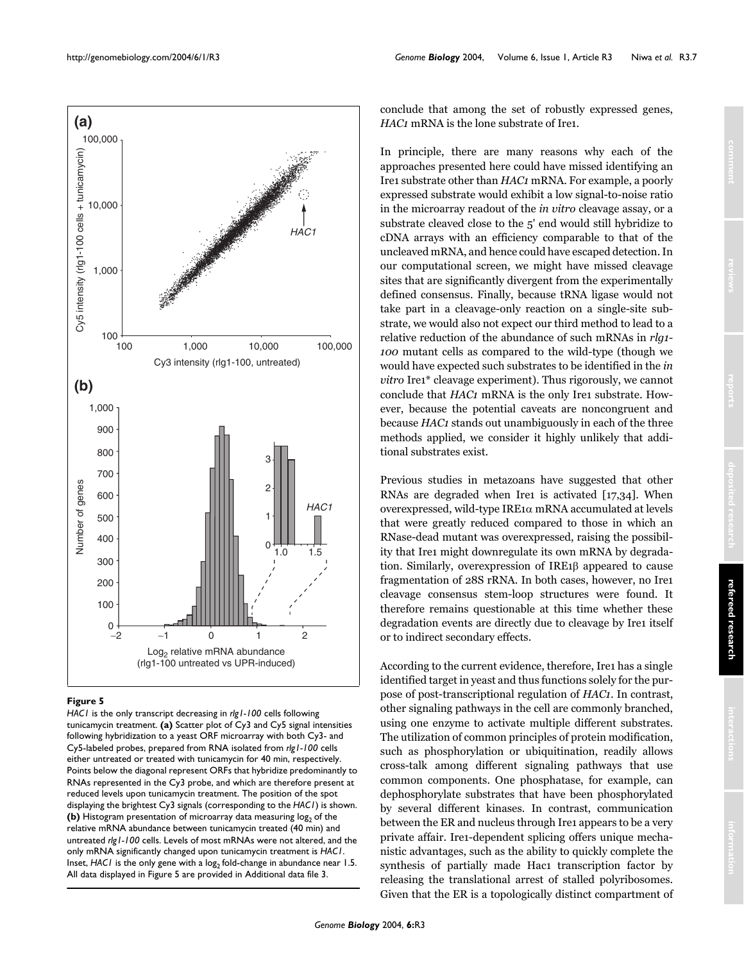<span id="page-6-0"></span>

## **Figure 5**

*HAC1* is the only transcript decreasing in *rlg1-100* cells following tunicamycin treatment. **(a)** Scatter plot of Cy3 and Cy5 signal intensities following hybridization to a yeast ORF microarray with both Cy3- and Cy5-labeled probes, prepared from RNA isolated from *rlg1-100* cells either untreated or treated with tunicamycin for 40 min, respectively. Points below the diagonal represent ORFs that hybridize predominantly to RNAs represented in the Cy3 probe, and which are therefore present at reduced levels upon tunicamycin treatment. The position of the spot displaying the brightest Cy3 signals (corresponding to the *HAC1*) is shown. **(b)** Histogram presentation of microarray data measuring log<sub>2</sub> of the relative mRNA abundance between tunicamycin treated (40 min) and untreated *rlg1-100* cells. Levels of most mRNAs were not altered, and the only mRNA significantly changed upon tunicamycin treatment is *HAC1*. Inset, *HAC1* is the only gene with a log<sub>2</sub> fold-change in abundance near 1.5. All data displayed in Figure 5 are provided in Additional data file 3.

conclude that among the set of robustly expressed genes, *HAC1* mRNA is the lone substrate of Ire1.

In principle, there are many reasons why each of the approaches presented here could have missed identifying an Ire1 substrate other than *HAC1* mRNA. For example, a poorly expressed substrate would exhibit a low signal-to-noise ratio in the microarray readout of the *in vitro* cleavage assay, or a substrate cleaved close to the 5' end would still hybridize to cDNA arrays with an efficiency comparable to that of the uncleaved mRNA, and hence could have escaped detection. In our computational screen, we might have missed cleavage sites that are significantly divergent from the experimentally defined consensus. Finally, because tRNA ligase would not take part in a cleavage-only reaction on a single-site substrate, we would also not expect our third method to lead to a relative reduction of the abundance of such mRNAs in *rlg1- 100* mutant cells as compared to the wild-type (though we would have expected such substrates to be identified in the *in vitro* Ire1\* cleavage experiment). Thus rigorously, we cannot conclude that *HAC1* mRNA is the only Ire1 substrate. However, because the potential caveats are noncongruent and because *HAC1* stands out unambiguously in each of the three methods applied, we consider it highly unlikely that additional substrates exist.

Previous studies in metazoans have suggested that other RNAs are degraded when Ire1 is activated [17,34]. When overexpressed, wild-type IRE1α mRNA accumulated at levels that were greatly reduced compared to those in which an RNase-dead mutant was overexpressed, raising the possibility that Ire1 might downregulate its own mRNA by degradation. Similarly, overexpression of IRE1β appeared to cause fragmentation of 28S rRNA. In both cases, however, no Ire1 cleavage consensus stem-loop structures were found. It therefore remains questionable at this time whether these degradation events are directly due to cleavage by Ire1 itself or to indirect secondary effects.

According to the current evidence, therefore, Ire1 has a single identified target in yeast and thus functions solely for the purpose of post-transcriptional regulation of *HAC1*. In contrast, other signaling pathways in the cell are commonly branched, using one enzyme to activate multiple different substrates. The utilization of common principles of protein modification, such as phosphorylation or ubiquitination, readily allows cross-talk among different signaling pathways that use common components. One phosphatase, for example, can dephosphorylate substrates that have been phosphorylated by several different kinases. In contrast, communication between the ER and nucleus through Ire1 appears to be a very private affair. Ire1-dependent splicing offers unique mechanistic advantages, such as the ability to quickly complete the synthesis of partially made Hac1 transcription factor by releasing the translational arrest of stalled polyribosomes. Given that the ER is a topologically distinct compartment of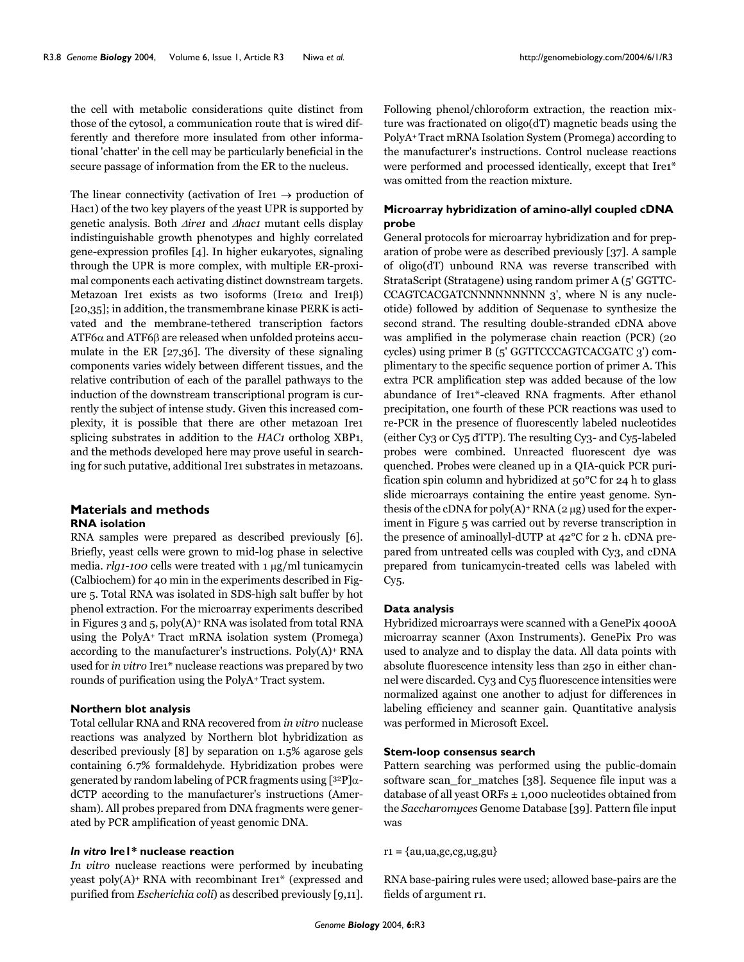the cell with metabolic considerations quite distinct from those of the cytosol, a communication route that is wired differently and therefore more insulated from other informational 'chatter' in the cell may be particularly beneficial in the secure passage of information from the ER to the nucleus.

The linear connectivity (activation of Ire1  $\rightarrow$  production of Hac1) of the two key players of the yeast UPR is supported by genetic analysis. Both ∆*ire1* and ∆*hac1* mutant cells display indistinguishable growth phenotypes and highly correlated gene-expression profiles [4]. In higher eukaryotes, signaling through the UPR is more complex, with multiple ER-proximal components each activating distinct downstream targets. Metazoan Ire1 exists as two isoforms (Ire1 $\alpha$  and Ire1 $\beta$ ) [20,35]; in addition, the transmembrane kinase PERK is activated and the membrane-tethered transcription factors ATF6α and ATF6β are released when unfolded proteins accumulate in the ER [27,36]. The diversity of these signaling components varies widely between different tissues, and the relative contribution of each of the parallel pathways to the induction of the downstream transcriptional program is currently the subject of intense study. Given this increased complexity, it is possible that there are other metazoan Ire1 splicing substrates in addition to the *HAC1* ortholog XBP1, and the methods developed here may prove useful in searching for such putative, additional Ire1 substrates in metazoans.

## **Materials and methods RNA isolation**

RNA samples were prepared as described previously [6]. Briefly, yeast cells were grown to mid-log phase in selective media. *rlg1-100* cells were treated with 1 μg/ml tunicamycin (Calbiochem) for 40 min in the experiments described in Figure [5](#page-6-0). Total RNA was isolated in SDS-high salt buffer by hot phenol extraction. For the microarray experiments described in Figures 3 and [5,](#page-6-0) poly(A)+ RNA was isolated from total RNA using the PolyA+ Tract mRNA isolation system (Promega) according to the manufacturer's instructions. Poly(A)+ RNA used for *in vitro* Ire1\* nuclease reactions was prepared by two rounds of purification using the PolyA+ Tract system.

## **Northern blot analysis**

Total cellular RNA and RNA recovered from *in vitro* nuclease reactions was analyzed by Northern blot hybridization as described previously [8] by separation on 1.5% agarose gels containing 6.7% formaldehyde. Hybridization probes were generated by random labeling of PCR fragments using [32P]αdCTP according to the manufacturer's instructions (Amersham). All probes prepared from DNA fragments were generated by PCR amplification of yeast genomic DNA.

# *In vitro* **Ire1\* nuclease reaction**

*In vitro* nuclease reactions were performed by incubating yeast poly(A)+ RNA with recombinant Ire1\* (expressed and purified from *Escherichia coli*) as described previously [9,11].

Following phenol/chloroform extraction, the reaction mixture was fractionated on oligo(dT) magnetic beads using the PolyA+ Tract mRNA Isolation System (Promega) according to the manufacturer's instructions. Control nuclease reactions were performed and processed identically, except that Ire1\* was omitted from the reaction mixture.

# **Microarray hybridization of amino-allyl coupled cDNA probe**

General protocols for microarray hybridization and for preparation of probe were as described previously [37]. A sample of oligo(dT) unbound RNA was reverse transcribed with StrataScript (Stratagene) using random primer A (5' GGTTC-CCAGTCACGATCNNNNNNNNN 3', where N is any nucleotide) followed by addition of Sequenase to synthesize the second strand. The resulting double-stranded cDNA above was amplified in the polymerase chain reaction (PCR) (20 cycles) using primer B (5' GGTTCCCAGTCACGATC 3') complimentary to the specific sequence portion of primer A. This extra PCR amplification step was added because of the low abundance of Ire1\*-cleaved RNA fragments. After ethanol precipitation, one fourth of these PCR reactions was used to re-PCR in the presence of fluorescently labeled nucleotides (either Cy3 or Cy5 dTTP). The resulting Cy3- and Cy5-labeled probes were combined. Unreacted fluorescent dye was quenched. Probes were cleaned up in a QIA-quick PCR purification spin column and hybridized at 50°C for 24 h to glass slide microarrays containing the entire yeast genome. Synthesis of the cDNA for poly $(A)$ <sup>+</sup> RNA (2  $\mu$ g) used for the experiment in Figure [5](#page-6-0) was carried out by reverse transcription in the presence of aminoallyl-dUTP at 42°C for 2 h. cDNA prepared from untreated cells was coupled with Cy3, and cDNA prepared from tunicamycin-treated cells was labeled with Cy5.

#### **Data analysis**

Hybridized microarrays were scanned with a GenePix 4000A microarray scanner (Axon Instruments). GenePix Pro was used to analyze and to display the data. All data points with absolute fluorescence intensity less than 250 in either channel were discarded. Cy3 and Cy5 fluorescence intensities were normalized against one another to adjust for differences in labeling efficiency and scanner gain. Quantitative analysis was performed in Microsoft Excel.

#### **Stem-loop consensus search**

Pattern searching was performed using the public-domain software scan\_for\_matches [38]. Sequence file input was a database of all yeast ORFs  $\pm$  1,000 nucleotides obtained from the *Saccharomyces* Genome Database [39]. Pattern file input was

#### $r_1 = \{au, ua, gc, cg, ug, gu\}$

RNA base-pairing rules were used; allowed base-pairs are the fields of argument r1.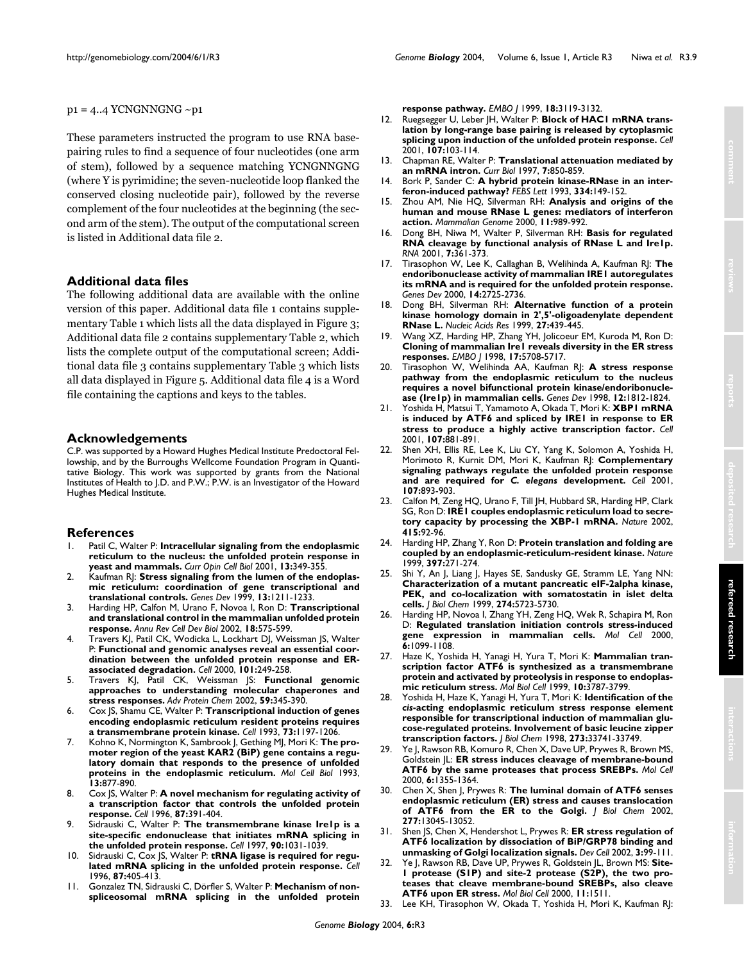## $p1 = 4..4$  YCNGNNGNG  $\sim p1$

These parameters instructed the program to use RNA basepairing rules to find a sequence of four nucleotides (one arm of stem), followed by a sequence matching YCNGNNGNG (where Y is pyrimidine; the seven-nucleotide loop flanked the conserved closing nucleotide pair), followed by the reverse complement of the four nucleotides at the beginning (the second arm of the stem). The output of the computational screen is listed in Additional data file 2.

# **Additional data files**

The following additional data are available with the online version of this paper. Additional data file 1 contains supplementary Table 1 which lists all the data displayed in Figure 3; Additional data file 2 contains supplementary Table 2, which lists the complete output of the computational screen; Additional data file 3 contains supplementary Table 3 which lists all data displayed in Figure [5.](#page-6-0) Additional data file 4 is a Word file containing the captions and keys to the tables.

# **Acknowledgements**

C.P. was supported by a Howard Hughes Medical Institute Predoctoral Fellowship, and by the Burroughs Wellcome Foundation Program in Quantitative Biology. This work was supported by grants from the National Institutes of Health to J.D. and P.W.; P.W. is an Investigator of the Howard Hughes Medical Institute.

# **References**

- 1. Patil C, Walter P: **[Intracellular signaling from the endoplasmic](http://www.ncbi.nlm.nih.gov/entrez/query.fcgi?cmd=Retrieve&db=PubMed&dopt=Abstract&list_uids=11343907) [reticulum to the nucleus: the unfolded protein response in](http://www.ncbi.nlm.nih.gov/entrez/query.fcgi?cmd=Retrieve&db=PubMed&dopt=Abstract&list_uids=11343907) [yeast and mammals.](http://www.ncbi.nlm.nih.gov/entrez/query.fcgi?cmd=Retrieve&db=PubMed&dopt=Abstract&list_uids=11343907)** *Curr Opin Cell Biol* 2001, **13:**349-355.
- 2. Kaufman RJ: **[Stress signaling from the lumen of the endoplas](http://www.ncbi.nlm.nih.gov/entrez/query.fcgi?cmd=Retrieve&db=PubMed&dopt=Abstract&list_uids=10346810)[mic reticulum: coordination of gene transcriptional and](http://www.ncbi.nlm.nih.gov/entrez/query.fcgi?cmd=Retrieve&db=PubMed&dopt=Abstract&list_uids=10346810) [translational controls.](http://www.ncbi.nlm.nih.gov/entrez/query.fcgi?cmd=Retrieve&db=PubMed&dopt=Abstract&list_uids=10346810)** *Genes Dev* 1999, **13:**1211-1233.
- 3. Harding HP, Calfon M, Urano F, Novoa I, Ron D: **[Transcriptional](http://www.ncbi.nlm.nih.gov/entrez/query.fcgi?cmd=Retrieve&db=PubMed&dopt=Abstract&list_uids=12142265) [and translational control in the mammalian unfolded protein](http://www.ncbi.nlm.nih.gov/entrez/query.fcgi?cmd=Retrieve&db=PubMed&dopt=Abstract&list_uids=12142265) [response.](http://www.ncbi.nlm.nih.gov/entrez/query.fcgi?cmd=Retrieve&db=PubMed&dopt=Abstract&list_uids=12142265)** *Annu Rev Cell Dev Biol* 2002, **18:**575-599.
- 4. Travers KJ, Patil CK, Wodicka L, Lockhart DJ, Weissman JS, Walter P: **[Functional and genomic analyses reveal an essential coor](http://www.ncbi.nlm.nih.gov/entrez/query.fcgi?cmd=Retrieve&db=PubMed&dopt=Abstract&list_uids=10847680)[dination between the unfolded protein response and ER](http://www.ncbi.nlm.nih.gov/entrez/query.fcgi?cmd=Retrieve&db=PubMed&dopt=Abstract&list_uids=10847680)[associated degradation.](http://www.ncbi.nlm.nih.gov/entrez/query.fcgi?cmd=Retrieve&db=PubMed&dopt=Abstract&list_uids=10847680)** *Cell* 2000, **101:**249-258.
- 5. Travers KJ, Patil CK, Weissman JS: **Functional genomic approaches to understanding molecular chaperones and stress responses.** *Adv Protein Chem* 2002, **59:**345-390.
- 6. Cox JS, Shamu CE, Walter P: **[Transcriptional induction of genes](http://www.ncbi.nlm.nih.gov/entrez/query.fcgi?cmd=Retrieve&db=PubMed&dopt=Abstract&list_uids=8513503) [encoding endoplasmic reticulum resident proteins requires](http://www.ncbi.nlm.nih.gov/entrez/query.fcgi?cmd=Retrieve&db=PubMed&dopt=Abstract&list_uids=8513503) [a transmembrane protein kinase.](http://www.ncbi.nlm.nih.gov/entrez/query.fcgi?cmd=Retrieve&db=PubMed&dopt=Abstract&list_uids=8513503)** *Cell* 1993, **73:**1197-1206.
- 7. Kohno K, Normington K, Sambrook J, Gething MJ, Mori K: **[The pro](http://www.ncbi.nlm.nih.gov/entrez/query.fcgi?cmd=Retrieve&db=PubMed&dopt=Abstract&list_uids=8423809)moter region of the yeast KAR2 (BiP) gene contains a regu[latory domain that responds to the presence of unfolded](http://www.ncbi.nlm.nih.gov/entrez/query.fcgi?cmd=Retrieve&db=PubMed&dopt=Abstract&list_uids=8423809) [proteins in the endoplasmic reticulum.](http://www.ncbi.nlm.nih.gov/entrez/query.fcgi?cmd=Retrieve&db=PubMed&dopt=Abstract&list_uids=8423809)** *Mol Cell Biol* 1993, **13:**877-890.
- 8. Cox JS, Walter P: **[A novel mechanism for regulating activity of](http://www.ncbi.nlm.nih.gov/entrez/query.fcgi?cmd=Retrieve&db=PubMed&dopt=Abstract&list_uids=8898193) [a transcription factor that controls the unfolded protein](http://www.ncbi.nlm.nih.gov/entrez/query.fcgi?cmd=Retrieve&db=PubMed&dopt=Abstract&list_uids=8898193) [response.](http://www.ncbi.nlm.nih.gov/entrez/query.fcgi?cmd=Retrieve&db=PubMed&dopt=Abstract&list_uids=8898193)** *Cell* 1996, **87:**391-404.
- 9. Sidrauski C, Walter P: **[The transmembrane kinase Ire1p is a](http://www.ncbi.nlm.nih.gov/entrez/query.fcgi?cmd=Retrieve&db=PubMed&dopt=Abstract&list_uids=9323131) [site-specific endonuclease that initiates mRNA splicing in](http://www.ncbi.nlm.nih.gov/entrez/query.fcgi?cmd=Retrieve&db=PubMed&dopt=Abstract&list_uids=9323131) [the unfolded protein response.](http://www.ncbi.nlm.nih.gov/entrez/query.fcgi?cmd=Retrieve&db=PubMed&dopt=Abstract&list_uids=9323131)** *Cell* 1997, **90:**1031-1039.
- Sidrauski C, Cox JS, Walter P: **[tRNA ligase is required for regu](http://www.ncbi.nlm.nih.gov/entrez/query.fcgi?cmd=Retrieve&db=PubMed&dopt=Abstract&list_uids=8898194)[lated mRNA splicing in the unfolded protein response.](http://www.ncbi.nlm.nih.gov/entrez/query.fcgi?cmd=Retrieve&db=PubMed&dopt=Abstract&list_uids=8898194)** *Cell* 1996, **87:**405-413.
- 11. Gonzalez TN, Sidrauski C, Dörfler S, Walter P: **[Mechanism of non](http://www.ncbi.nlm.nih.gov/entrez/query.fcgi?cmd=Retrieve&db=PubMed&dopt=Abstract&list_uids=10357823)[spliceosomal mRNA splicing in the unfolded protein](http://www.ncbi.nlm.nih.gov/entrez/query.fcgi?cmd=Retrieve&db=PubMed&dopt=Abstract&list_uids=10357823)**
- **[response pathway.](http://www.ncbi.nlm.nih.gov/entrez/query.fcgi?cmd=Retrieve&db=PubMed&dopt=Abstract&list_uids=10357823)** *EMBO J* 1999, **18:**3119-3132.
- 12. Ruegsegger U, Leber JH, Walter P: **[Block of HAC1 mRNA trans](http://www.ncbi.nlm.nih.gov/entrez/query.fcgi?cmd=Retrieve&db=PubMed&dopt=Abstract&list_uids=11595189)[lation by long-range base pairing is released by cytoplasmic](http://www.ncbi.nlm.nih.gov/entrez/query.fcgi?cmd=Retrieve&db=PubMed&dopt=Abstract&list_uids=11595189) [splicing upon induction of the unfolded protein response.](http://www.ncbi.nlm.nih.gov/entrez/query.fcgi?cmd=Retrieve&db=PubMed&dopt=Abstract&list_uids=11595189)** *Cell* 2001, **107:**103-114.
- 13. Chapman RE, Walter P: **[Translational attenuation mediated by](http://www.ncbi.nlm.nih.gov/entrez/query.fcgi?cmd=Retrieve&db=PubMed&dopt=Abstract&list_uids=9382810) [an mRNA intron.](http://www.ncbi.nlm.nih.gov/entrez/query.fcgi?cmd=Retrieve&db=PubMed&dopt=Abstract&list_uids=9382810)** *Curr Biol* 1997, **7:**850-859.
- 14. Bork P, Sander C: **[A hybrid protein kinase-RNase in an inter](http://www.ncbi.nlm.nih.gov/entrez/query.fcgi?cmd=Retrieve&db=PubMed&dopt=Abstract&list_uids=7693513)[feron-induced pathway?](http://www.ncbi.nlm.nih.gov/entrez/query.fcgi?cmd=Retrieve&db=PubMed&dopt=Abstract&list_uids=7693513)** *FEBS Lett* 1993, **334:**149-152.
- 15. Zhou AM, Nie HQ, Silverman RH: **[Analysis and origins of the](http://www.ncbi.nlm.nih.gov/entrez/query.fcgi?cmd=Retrieve&db=PubMed&dopt=Abstract&list_uids=11063255) [human and mouse RNase L genes: mediators of interferon](http://www.ncbi.nlm.nih.gov/entrez/query.fcgi?cmd=Retrieve&db=PubMed&dopt=Abstract&list_uids=11063255) [action.](http://www.ncbi.nlm.nih.gov/entrez/query.fcgi?cmd=Retrieve&db=PubMed&dopt=Abstract&list_uids=11063255)** *Mammalian Genome* 2000, **11:**989-992.
- 16. Dong BH, Niwa M, Walter P, Silverman RH: **[Basis for regulated](http://www.ncbi.nlm.nih.gov/entrez/query.fcgi?cmd=Retrieve&db=PubMed&dopt=Abstract&list_uids=11333017) [RNA cleavage by functional analysis of RNase L and Ire1p.](http://www.ncbi.nlm.nih.gov/entrez/query.fcgi?cmd=Retrieve&db=PubMed&dopt=Abstract&list_uids=11333017)** *RNA* 2001, **7:**361-373.
- 17. Tirasophon W, Lee K, Callaghan B, Welihinda A, Kaufman RJ: **[The](http://www.ncbi.nlm.nih.gov/entrez/query.fcgi?cmd=Retrieve&db=PubMed&dopt=Abstract&list_uids=11069889) [endoribonuclease activity of mammalian IRE1 autoregulates](http://www.ncbi.nlm.nih.gov/entrez/query.fcgi?cmd=Retrieve&db=PubMed&dopt=Abstract&list_uids=11069889) its mRNA and is required for the unfolded protein response.** *Genes Dev* 2000, **14:**2725-2736.
- 18. Dong BH, Silverman RH: **[Alternative function of a protein](http://www.ncbi.nlm.nih.gov/entrez/query.fcgi?cmd=Retrieve&db=PubMed&dopt=Abstract&list_uids=9862963) [kinase homology domain in 2',5'-oligoadenylate dependent](http://www.ncbi.nlm.nih.gov/entrez/query.fcgi?cmd=Retrieve&db=PubMed&dopt=Abstract&list_uids=9862963) [RNase L.](http://www.ncbi.nlm.nih.gov/entrez/query.fcgi?cmd=Retrieve&db=PubMed&dopt=Abstract&list_uids=9862963)** *Nucleic Acids Res* 1999, **27:**439-445.
- 19. Wang XZ, Harding HP, Zhang YH, Jolicoeur EM, Kuroda M, Ron D: **[Cloning of mammalian Ire1 reveals diversity in the ER stress](http://www.ncbi.nlm.nih.gov/entrez/query.fcgi?cmd=Retrieve&db=PubMed&dopt=Abstract&list_uids=9755171) [responses.](http://www.ncbi.nlm.nih.gov/entrez/query.fcgi?cmd=Retrieve&db=PubMed&dopt=Abstract&list_uids=9755171)** *EMBO J* 1998, **17:**5708-5717.
- 20. Tirasophon W, Welihinda AA, Kaufman RJ: **[A stress response](http://www.ncbi.nlm.nih.gov/entrez/query.fcgi?cmd=Retrieve&db=PubMed&dopt=Abstract&list_uids=9637683) [pathway from the endoplasmic reticulum to the nucleus](http://www.ncbi.nlm.nih.gov/entrez/query.fcgi?cmd=Retrieve&db=PubMed&dopt=Abstract&list_uids=9637683) requires a novel bifunctional protein kinase/endoribonucle[ase \(Ire1p\) in mammalian cells.](http://www.ncbi.nlm.nih.gov/entrez/query.fcgi?cmd=Retrieve&db=PubMed&dopt=Abstract&list_uids=9637683)** *Genes Dev* 1998, **12:**1812-1824.
- 21. Yoshida H, Matsui T, Yamamoto A, Okada T, Mori K: **[XBP1 mRNA](http://www.ncbi.nlm.nih.gov/entrez/query.fcgi?cmd=Retrieve&db=PubMed&dopt=Abstract&list_uids=11779464) [is induced by ATF6 and spliced by IRE1 in response to ER](http://www.ncbi.nlm.nih.gov/entrez/query.fcgi?cmd=Retrieve&db=PubMed&dopt=Abstract&list_uids=11779464) [stress to produce a highly active transcription factor.](http://www.ncbi.nlm.nih.gov/entrez/query.fcgi?cmd=Retrieve&db=PubMed&dopt=Abstract&list_uids=11779464)** *Cell* 2001, **107:**881-891.
- 22. Shen XH, Ellis RE, Lee K, Liu CY, Yang K, Solomon A, Yoshida H, Morimoto R, Kurnit DM, Mori K, Kaufman RJ: **Complementary signaling pathways regulate the unfolded protein response and are required for** *C. elegans* **[development.](http://www.ncbi.nlm.nih.gov/entrez/query.fcgi?cmd=Retrieve&db=PubMed&dopt=Abstract&list_uids=11779465)** *Cell* 2001, **107:**893-903.
- 23. Calfon M, Zeng HQ, Urano F, Till JH, Hubbard SR, Harding HP, Clark SG, Ron D: **[IRE1 couples endoplasmic reticulum load to secre](http://www.ncbi.nlm.nih.gov/entrez/query.fcgi?cmd=Retrieve&db=PubMed&dopt=Abstract&list_uids=11780124)[tory capacity by processing the XBP-1 mRNA.](http://www.ncbi.nlm.nih.gov/entrez/query.fcgi?cmd=Retrieve&db=PubMed&dopt=Abstract&list_uids=11780124)** *Nature* 2002, **415:**92-96.
- 24. Harding HP, Zhang Y, Ron D: **[Protein translation and folding are](http://www.ncbi.nlm.nih.gov/entrez/query.fcgi?cmd=Retrieve&db=PubMed&dopt=Abstract&list_uids=9930704) [coupled by an endoplasmic-reticulum-resident kinase.](http://www.ncbi.nlm.nih.gov/entrez/query.fcgi?cmd=Retrieve&db=PubMed&dopt=Abstract&list_uids=9930704)** *Nature* 1999, **397:**271-274.
- 25. Shi Y, An J, Liang J, Hayes SE, Sandusky GE, Stramm LE, Yang NN: **[Characterization of a mutant pancreatic eIF-2alpha kinase,](http://www.ncbi.nlm.nih.gov/entrez/query.fcgi?cmd=Retrieve&db=PubMed&dopt=Abstract&list_uids=10026192) PEK, and co-localization with somatostatin in islet delta [cells.](http://www.ncbi.nlm.nih.gov/entrez/query.fcgi?cmd=Retrieve&db=PubMed&dopt=Abstract&list_uids=10026192)** *J Biol Chem* 1999, **274:**5723-5730.
- 26. Harding HP, Novoa I, Zhang YH, Zeng HQ, Wek R, Schapira M, Ron D: **[Regulated translation initiation controls stress-induced](http://www.ncbi.nlm.nih.gov/entrez/query.fcgi?cmd=Retrieve&db=PubMed&dopt=Abstract&list_uids=11106749) [gene expression in mammalian cells.](http://www.ncbi.nlm.nih.gov/entrez/query.fcgi?cmd=Retrieve&db=PubMed&dopt=Abstract&list_uids=11106749)** *Mol Cell* 2000, **6:**1099-1108.
- 27. Haze K, Yoshida H, Yanagi H, Yura T, Mori K: **[Mammalian tran](http://www.ncbi.nlm.nih.gov/entrez/query.fcgi?cmd=Retrieve&db=PubMed&dopt=Abstract&list_uids=10564271)[scription factor ATF6 is synthesized as a transmembrane](http://www.ncbi.nlm.nih.gov/entrez/query.fcgi?cmd=Retrieve&db=PubMed&dopt=Abstract&list_uids=10564271) protein and activated by proteolysis in response to endoplas[mic reticulum stress.](http://www.ncbi.nlm.nih.gov/entrez/query.fcgi?cmd=Retrieve&db=PubMed&dopt=Abstract&list_uids=10564271)** *Mol Biol Cell* 1999, **10:**3787-3799.
- 28. Yoshida H, Haze K, Yanagi H, Yura T, Mori K: **Identification of the** *cis***[-acting endoplasmic reticulum stress response element](http://www.ncbi.nlm.nih.gov/entrez/query.fcgi?cmd=Retrieve&db=PubMed&dopt=Abstract&list_uids=9837962) responsible for transcriptional induction of mammalian glu[cose-regulated proteins. Involvement of basic leucine zipper](http://www.ncbi.nlm.nih.gov/entrez/query.fcgi?cmd=Retrieve&db=PubMed&dopt=Abstract&list_uids=9837962) [transcription factors.](http://www.ncbi.nlm.nih.gov/entrez/query.fcgi?cmd=Retrieve&db=PubMed&dopt=Abstract&list_uids=9837962)** *J Biol Chem* 1998, **273:**33741-33749.
- 29. Ye J, Rawson RB, Komuro R, Chen X, Dave UP, Prywes R, Brown MS, Goldstein JL: **[ER stress induces cleavage of membrane-bound](http://www.ncbi.nlm.nih.gov/entrez/query.fcgi?cmd=Retrieve&db=PubMed&dopt=Abstract&list_uids=11163209) [ATF6 by the same proteases that process SREBPs.](http://www.ncbi.nlm.nih.gov/entrez/query.fcgi?cmd=Retrieve&db=PubMed&dopt=Abstract&list_uids=11163209)** *Mol Cell* 2000, **6:**1355-1364.
- 30. Chen X, Shen J, Prywes R: **[The luminal domain of ATF6 senses](http://www.ncbi.nlm.nih.gov/entrez/query.fcgi?cmd=Retrieve&db=PubMed&dopt=Abstract&list_uids=11821395) [endoplasmic reticulum \(ER\) stress and causes translocation](http://www.ncbi.nlm.nih.gov/entrez/query.fcgi?cmd=Retrieve&db=PubMed&dopt=Abstract&list_uids=11821395) [of ATF6 from the ER to the Golgi.](http://www.ncbi.nlm.nih.gov/entrez/query.fcgi?cmd=Retrieve&db=PubMed&dopt=Abstract&list_uids=11821395)** *J Biol Chem* 2002, **277:**13045-13052.
- 31. Shen JS, Chen X, Hendershot L, Prywes R: **[ER stress regulation of](http://www.ncbi.nlm.nih.gov/entrez/query.fcgi?cmd=Retrieve&db=PubMed&dopt=Abstract&list_uids=12110171) [ATF6 localization by dissociation of BiP/GRP78 binding and](http://www.ncbi.nlm.nih.gov/entrez/query.fcgi?cmd=Retrieve&db=PubMed&dopt=Abstract&list_uids=12110171) [unmasking of Golgi localization signals.](http://www.ncbi.nlm.nih.gov/entrez/query.fcgi?cmd=Retrieve&db=PubMed&dopt=Abstract&list_uids=12110171)** *Dev Cell* 2002, **3:**99-111.
- 32. Ye J, Rawson RB, Dave UP, Prywes R, Goldstein JL, Brown MS: **Site-1 protease (S1P) and site-2 protease (S2P), the two proteases that cleave membrane-bound SREBPs, also cleave ATF6 upon ER stress.** *Mol Biol Cell* 2000, **11:**1511.
- 33. Lee KH, Tirasophon W, Okada T, Yoshida H, Mori K, Kaufman RJ: